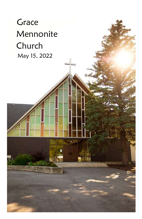# **Grace**  Mennonite Church May 15, 2022

 $\overline{\mathbf{a}}$  :

i

i í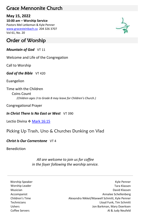# Grace Mennonite Church

## **May 15, 2022**

**10:00 am – Worship Service** Pastors Mel Letkeman & Kyle Penner [www.gracesteinbach.ca](http://www.gracesteinbach.ca/) 204 326 3707 Vol 61, No. 20

# Order of Worship

*Mountain of God* VT 11

Welcome and Life of the Congregation

Call to Worship

*God of the Bible* VT 420

Euangelion

Time with the Children Coins Count  *(Children ages 3 to Grade 8 may leave for Children's Church.)*

Congregational Prayer

*In Christ There Is No East or West* VT 390

Lectio Divina ❖ [Mark 16:15](https://www.biblegateway.com/passage/?search=Mark+16%3A15&version=NRSVUE)

# Picking Up Trash, Uno & Churches Dunking on Vlad

### *Christ Is Our Cornerstone*  $VT 4$

Benediction

*All are welcome to join us for coffee in the foyer following the worship service.*

Worship Speaker North Speaker New York 1999 and the United States of the United States of the United States of the United States of the United States of the United States of the United States of the United States of the Un Worship Leader Tara Klassen Musician David Klassen Accompanist **Accompanist** Annalee Schellenberg Children's Time Alexandra Nikkel/Maxwell Schmitt, Kyle Penner Technicians Lloyd Funk, Tim Schmitt Ushers Jon Barkman, Mary Doerksen Coffee Servers **Al & Judy Neufeld** 

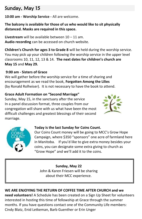# Sunday, May 15

**10:00 am - Worship Service -** All are welcome.

## **The balcony is available for those of us who would like to sit physically distanced. Masks are required in this space.**

**Livestream** will be available between 10 – 11 am. **Audio recording** can be accessed on church website.

**Children's Church for ages 3 to Grade 8** will be held during the worship service. You may pick up your children following the worship service in the upper level classrooms 10, 11, 12, 13 & 14. **The next dates for children's church are May 15** and **May 29.**

## **9:00 am - Sisters of Grace**

We will gather before the worship service for a time of sharing and encouragement as we read the book, **Forgotten Among the Lilies**  (by Ronald Rolheiser). It is not necessary to have the book to attend.

## **Grace Adult Formation on "Second Marriage"**

Sunday, May 15, in the sanctuary after the service In a panel discussion format, three couples from our congregation will share with us what have been the most difficult challenges and greatest blessings of their second marriage.





### **Today is the last Sunday for Coins Count.**

Our Coins Count money will be going to MCC's Grow Hope Campaign, where \$350 "sponsors" one acre of farmland here in Manitoba. If you'd like to give extra money besides your coins, you can designate some extra giving to church as "Grow Hope" and we'll add it to the coins.

# **Sunday, May 22**

John & Karen Friesen will be sharing about their MCC experience.

# **WE ARE ENJOYING THE RETURN OF COFFEE TIME AFTER CHURCH and we**

**need volunteers!** A Schedule has been created on a Sign Up Sheet for volunteers interested in hosting this time of fellowship at Grace through the summer months. If you have questions contact one of the Community Life members: Cindy Blatz, Enid Letkeman, Barb Guenther or Erin Unger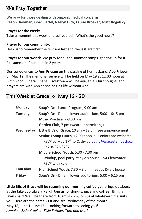# We Pray Together

We pray for those dealing with ongoing medical concerns. **Regon Barkman, Gord Bartel, Raelyn Dick, Laurie Kroeker, Matt Rogalsky**

#### **Prayer for the week:**

Take a moment this week and ask yourself: What's the good news?

#### **Prayer for our community:**

Help us to remember the first are last and the last are first.

**Prayer for our world:** We pray for all the summer camps, gearing up for a full summer of campers in 2 years.

Our condolences to **Ann Friesen** on the passing of her husband, **Abe Friesen,** on May 12. The memorial service will be held on May 19 at 12:00 noon at Birchwood Funeral Chapel. Livestream will be available. Our thoughts and prayers are with Ann as she begins life without Abe.

# This Week at Grace  $\div$  May 16 - 20

| <b>Monday</b>   | Soup's On - Lunch Program, 9:00 am                               |
|-----------------|------------------------------------------------------------------|
| <b>Tuesday</b>  | Soup's On - Dine in lower auditorium, 5:00 - 6:15 pm             |
|                 | Music Practise, 7-8:30 pm                                        |
|                 | Garden Club, 7 pm (weather permitting)                           |
| Wednesday       | Little Bit's of Grace, 10 am $-$ 12 pm, see announcement         |
|                 | Senior's Soup Lunch, 12:00 noon, all Seniors are welcome         |
|                 | RSVP by May 17 <sup>th</sup> to Cathy at cathy@gracesteinbach.ca |
|                 | or 204 326 3707                                                  |
|                 | Middle School Youth, 5:30 - 7:30 pm                              |
|                 | Windup, pool party at Kyle's house – 54 Clearwater               |
|                 | RSVP with Kyle                                                   |
| <b>Thursday</b> | <b>High School Youth, 7:30 - 9 pm, meet at Kyle's house</b>      |
| Friday          | Soup's On - Dine in lower auditorium, 5:00 - 6:15 pm             |

**Little Bits of Grace will be resuming our morning coffee** gatherings outdoors at the Jake Epp Library Park! Join us for donuts, juice and coffee. Bring a lawn chair! We'll be there from 10am -12pm, join us at whatever time suits you! Here are the dates: (1st and 3rd Wednesday of the month): May 18, June 1, June 15. Looking forward to seeing you! *Annalee, Elsie Kroeker, Elsie Kathler, Tam and Mark*